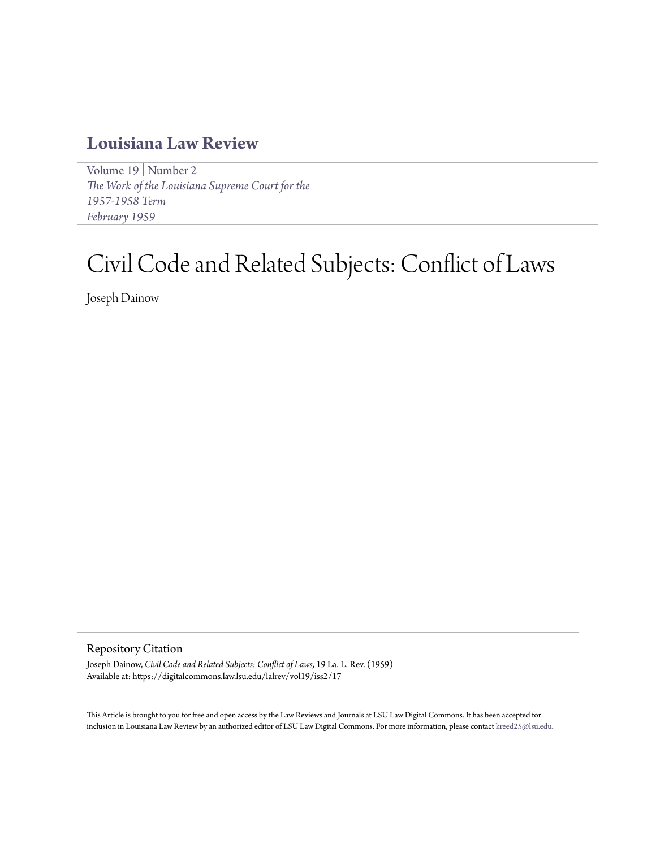## **[Louisiana Law Review](https://digitalcommons.law.lsu.edu/lalrev)**

[Volume 19](https://digitalcommons.law.lsu.edu/lalrev/vol19) | [Number 2](https://digitalcommons.law.lsu.edu/lalrev/vol19/iss2) *[The Work of the Louisiana Supreme Court for the](https://digitalcommons.law.lsu.edu/lalrev/vol19/iss2) [1957-1958 Term](https://digitalcommons.law.lsu.edu/lalrev/vol19/iss2) [February 1959](https://digitalcommons.law.lsu.edu/lalrev/vol19/iss2)*

# Civil Code and Related Subjects: Conflict of Laws

Joseph Dainow

#### Repository Citation

Joseph Dainow, *Civil Code and Related Subjects: Conflict of Laws*, 19 La. L. Rev. (1959) Available at: https://digitalcommons.law.lsu.edu/lalrev/vol19/iss2/17

This Article is brought to you for free and open access by the Law Reviews and Journals at LSU Law Digital Commons. It has been accepted for inclusion in Louisiana Law Review by an authorized editor of LSU Law Digital Commons. For more information, please contact [kreed25@lsu.edu](mailto:kreed25@lsu.edu).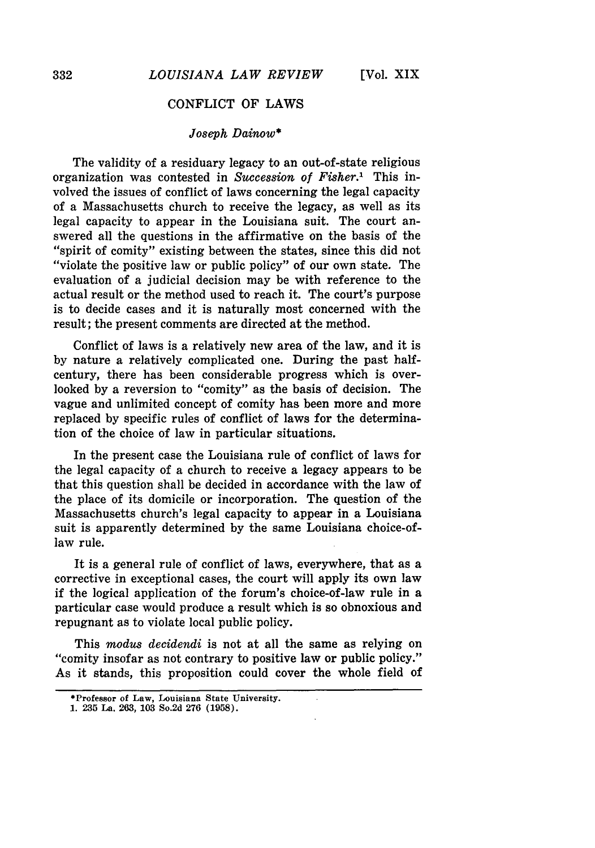### CONFLICT OF LAWS

#### *Joseph Dainow\**

The validity of a residuary legacy to an out-of-state religious organization was contested in *Succession of Fisher."* This involved the issues of conflict of laws concerning the legal capacity of a Massachusetts church to receive the legacy, as well as its legal capacity to appear in the Louisiana suit. The court answered all the questions in the affirmative on the basis of the "spirit of comity" existing between the states, since this did not "violate the positive law or public policy" of our own state. The evaluation of a judicial decision may be with reference to the actual result or the method used to reach it. The court's purpose is to decide cases and it is naturally most concerned with the result; the present comments are directed at the method.

Conflict of laws is a relatively new area of the law, and it is by nature a relatively complicated one. During the past halfcentury, there has been considerable progress which is overlooked by a reversion to "comity" as the basis of decision. The vague and unlimited concept of comity has been more and more replaced by specific rules of conflict of laws for the determination of the choice of law in particular situations.

In the present case the Louisiana rule of conflict of laws for the legal capacity of a church to receive a legacy appears to be that this question shall be decided in accordance with the law of the place of its domicile or incorporation. The question of the Massachusetts church's legal capacity to appear in a Louisiana suit is apparently determined **by** the same Louisiana choice-oflaw rule.

It is a general rule of conflict of laws, everywhere, that as a corrective in exceptional cases, the court will apply its own law if the logical application of the forum's choice-of-law rule in a particular case would produce a result which is so obnoxious and repugnant as to violate local public policy.

This *modus decidendi* is not at all the same as relying on "comity insofar as not contrary to positive law or public policy." As it stands, this proposition could cover the whole field of

<sup>\*</sup>Professor of Law, Louisiana State University.

**<sup>1. 235</sup> La. 263, 103** So.2d **276 (1958).**